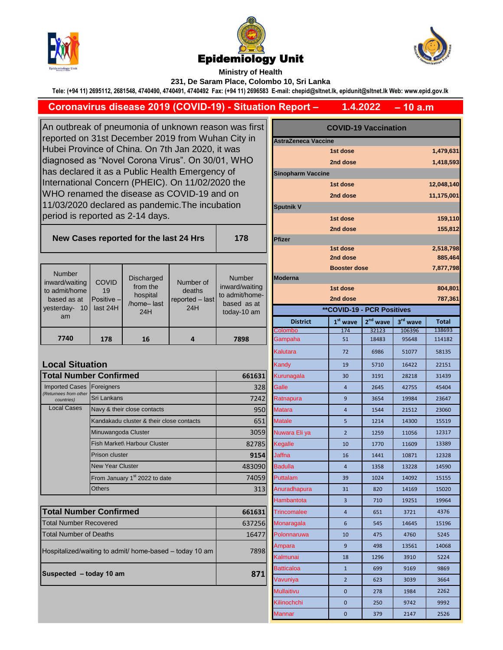





**Ministry of Health** 

**231, De Saram Place, Colombo 10, Sri Lanka**

**Tele: (+94 11) 2695112, 2681548, 4740490, 4740491, 4740492 Fax: (+94 11) 2696583 E-mail: chepid@sltnet.lk, epidunit@sltnet.lk Web: www.epid.gov.lk**

## **Coronavirus disease 2019 (COVID-19) - Situation Report –**

**– 10 a.m 1.4.2022**

An outbreak of pneumonia of unknown reason was first reported on 31st December 2019 from Wuhan City in Hubei Province of China. On 7th Jan 2020, it was diagnosed as "Novel Corona Virus". On 30/01, WHO has declared it as a Public Health Emergency of International Concern (PHEIC). On 11/02/2020 the WHO renamed the disease as COVID-19 and on 11/03/2020 declared as pandemic.The incubation period is reported as 2-14 days.

## **New Cases reported for the last 24 Hrs**

| <b>Number</b><br>inward/waiting<br>to admit/home<br>based as at<br>vesterday-<br>10<br>am | <b>COVID</b><br>19<br>Positive $-$<br>last 24H | <b>Discharged</b><br>from the<br>hospital<br>/home-last<br>24H | Number of<br>deaths<br>reported - last<br>24H | <b>Number</b><br>inward/waiting<br>to admit/home-<br>based as at<br>today-10 am |
|-------------------------------------------------------------------------------------------|------------------------------------------------|----------------------------------------------------------------|-----------------------------------------------|---------------------------------------------------------------------------------|
| 7740                                                                                      | 178                                            | 16                                                             |                                               | 7898                                                                            |

| <b>Local Situation</b>                                       |                                                  |             | Kandy              | 19             | 5710          | 16422 | 22151 |  |
|--------------------------------------------------------------|--------------------------------------------------|-------------|--------------------|----------------|---------------|-------|-------|--|
|                                                              | <b>Total Number Confirmed</b>                    | 661631      | Kurunagala         | 30             | 28218<br>3191 |       | 31439 |  |
| <b>Imported Cases</b><br>(Returnees from other<br>countries) | Foreigners                                       | 328         | Galle              | 4              | 2645          | 42755 | 45404 |  |
|                                                              | <b>Sri Lankans</b>                               | 7242        | Ratnapura          | 9              | 3654          | 19984 | 23647 |  |
| <b>Local Cases</b>                                           | Navy & their close contacts                      | 950         | <b>Matara</b>      | 4              | 1544          | 21512 | 23060 |  |
|                                                              | Kandakadu cluster & their close contacts         | 651         | <b>Matale</b>      | 5              | 1214          | 14300 | 15519 |  |
|                                                              | Minuwangoda Cluster                              | 3059        | Nuwara Eli ya      | $\overline{2}$ | 1259          | 11056 | 12317 |  |
|                                                              | Fish Market\ Harbour Cluster                     | 82785       | Kegalle            | 10             | 1770          | 11609 | 13389 |  |
|                                                              | Prison cluster                                   | <b>9154</b> | <b>Jaffna</b>      | 16             | 1441          | 10871 | 12328 |  |
|                                                              | <b>New Year Cluster</b>                          | 483090      | <b>Badulla</b>     | 4              | 1358          | 13228 | 14590 |  |
|                                                              | From January 1 <sup>st</sup> 2022 to date        | 74059       | Puttalam           | 39             | 1024          | 14092 | 15155 |  |
|                                                              | <b>Others</b>                                    | 313         | Anuradhapura       | 31             | 820           | 14169 | 15020 |  |
|                                                              |                                                  |             | Hambantota         | 3              | 710           | 19251 | 19964 |  |
|                                                              | <b>Total Number Confirmed</b>                    |             | <b>Trincomalee</b> | $\overline{4}$ | 651           | 3721  | 4376  |  |
|                                                              | Total Number Recovered<br>Total Number of Deaths |             | Monaragala         | 6              | 545           | 14645 | 15196 |  |
|                                                              |                                                  |             | Polonnaruwa        | 10             | 475           | 4760  | 5245  |  |
| Hospitalized/waiting to admit/ home-based – today 10 am      |                                                  | 7898        | Ampara             | 9              | 498           | 13561 | 14068 |  |
|                                                              |                                                  |             |                    |                |               |       |       |  |

**Suspected – today 10 am 871** 

| outbreak of pneumonia of unknown reason was first<br>orted on 31st December 2019 from Wuhan City in |                                            |                                          |                                               |                            | <b>COVID-19 Vaccination</b><br>AstraZeneca Vaccine |                                   |            |           |                      |
|-----------------------------------------------------------------------------------------------------|--------------------------------------------|------------------------------------------|-----------------------------------------------|----------------------------|----------------------------------------------------|-----------------------------------|------------|-----------|----------------------|
| ei Province of China. On 7th Jan 2020, it was                                                       |                                            |                                          |                                               |                            | 1st dose                                           |                                   |            | 1,479,631 |                      |
| nosed as "Novel Corona Virus". On 30/01, WHO                                                        |                                            |                                          |                                               |                            | 2nd dose                                           |                                   |            | 1,418,593 |                      |
| declared it as a Public Health Emergency of                                                         |                                            |                                          |                                               | <b>Sinopharm Vaccine</b>   |                                                    |                                   |            |           |                      |
|                                                                                                     |                                            |                                          |                                               |                            | 1st dose<br>12,048,140                             |                                   |            |           |                      |
| rnational Concern (PHEIC). On 11/02/2020 the<br>O renamed the disease as COVID-19 and on            |                                            |                                          |                                               |                            |                                                    | 2nd dose                          |            |           | 11,175,001           |
| 03/2020 declared as pandemic. The incubation                                                        |                                            |                                          |                                               |                            |                                                    |                                   |            |           |                      |
|                                                                                                     |                                            | od is reported as 2-14 days.             |                                               |                            | <b>Sputnik V</b>                                   |                                   |            |           |                      |
|                                                                                                     |                                            |                                          |                                               |                            |                                                    | 1st dose                          |            |           | 159,110<br>155,812   |
| ew Cases reported for the last 24 Hrs                                                               |                                            |                                          |                                               | 178                        | 2nd dose<br>Pfizer                                 |                                   |            |           |                      |
|                                                                                                     |                                            |                                          |                                               |                            |                                                    | 1st dose<br>2nd dose              |            |           | 2,518,798<br>885,464 |
|                                                                                                     |                                            |                                          |                                               |                            |                                                    | <b>Booster dose</b>               |            |           | 7,877,798            |
| umber                                                                                               |                                            | <b>Discharged</b>                        | Number of<br>deaths<br>reported - last<br>24H | <b>Number</b>              | <b>Moderna</b>                                     |                                   |            |           |                      |
| rd/waiting                                                                                          | <b>COVID</b><br>19                         | from the                                 |                                               | inward/waiting             |                                                    | 1st dose                          |            |           | 804,801              |
| lmit/home<br>ed as at                                                                               | Positive -                                 | hospital                                 |                                               | to admit/home-             |                                                    | 2nd dose                          |            |           | 787,361              |
| erday- 10                                                                                           | last 24H                                   | /home-last<br>24H                        |                                               | based as at<br>today-10 am |                                                    | <b>**COVID-19 - PCR Positives</b> |            |           |                      |
| am                                                                                                  |                                            |                                          |                                               |                            | <b>District</b>                                    | $1st$ wave                        | $2nd$ wave | 3rd wave  | <b>Total</b>         |
|                                                                                                     |                                            |                                          |                                               |                            | <u>Colombo</u>                                     | 174                               | 32123      | 106396    | 138693               |
| 7740                                                                                                | 178                                        | 16                                       | 4                                             | 7898                       | Gampaha                                            | 51                                | 18483      | 95648     | 114182               |
|                                                                                                     |                                            |                                          |                                               |                            | Kalutara                                           | 72                                | 6986       | 51077     | 58135                |
| al Situation                                                                                        |                                            |                                          |                                               |                            | Kandy                                              | 19                                | 5710       | 16422     | 22151                |
|                                                                                                     | Il Number Confirmed                        |                                          |                                               | 661631                     | Kurunagala                                         | 30                                | 3191       | 28218     | 31439                |
| rted Cases                                                                                          | Foreigners                                 |                                          |                                               | 328                        | Galle                                              | 4                                 | 2645       | 42755     | 45404                |
| ees from other<br>ountries)                                                                         | Sri Lankans<br>Navy & their close contacts |                                          |                                               | 7242                       | Ratnapura                                          | 9                                 | 3654       | 19984     | 23647                |
| al Cases:                                                                                           |                                            |                                          |                                               | 950                        | Matara                                             | $\overline{4}$                    | 1544       | 21512     | 23060                |
|                                                                                                     |                                            | Kandakadu cluster & their close contacts |                                               | 651                        | <b>Matale</b>                                      | 5                                 | 1214       | 14300     | 15519                |
|                                                                                                     | Minuwangoda Cluster                        |                                          |                                               | 3059                       | Nuwara Eli ya                                      | $\overline{2}$                    | 1259       | 11056     | 12317                |
| Fish Market\ Harbour Cluster                                                                        |                                            |                                          |                                               | 82785                      | Kegalle                                            | 10                                | 1770       | 11609     | 13389                |
|                                                                                                     | <b>Prison cluster</b>                      |                                          |                                               | 9154                       | Jaffna                                             | 16                                | 1441       | 10871     | 12328                |
|                                                                                                     | <b>New Year Cluster</b>                    |                                          |                                               | 483090                     | <b>Badulla</b>                                     | $\overline{\mathbf{4}}$           | 1358       | 13228     | 14590                |
|                                                                                                     | From January 1st 2022 to date              |                                          |                                               | 74059                      | Puttalam                                           | 39                                | 1024       | 14092     | 15155                |
|                                                                                                     | Others                                     |                                          |                                               | 313                        | Anuradhapura                                       | 31                                | 820        | 14169     | 15020                |
|                                                                                                     |                                            |                                          |                                               |                            | Hambantota                                         | 3                                 | 710        | 19251     | 19964                |
|                                                                                                     | Il Number Confirmed                        |                                          |                                               | 661631                     | Trincomalee                                        | $\overline{\mathbf{4}}$           | 651        | 3721      | 4376                 |
| Number Recovered                                                                                    |                                            |                                          | 637256                                        | Monaragala                 | 6                                                  | 545                               | 14645      | 15196     |                      |
| <b>Number of Deaths</b>                                                                             |                                            |                                          | 16477                                         | Polonnaruwa                | 10                                                 | 475                               | 4760       | 5245      |                      |
| italized/waiting to admit/ home-based - today 10 am                                                 |                                            |                                          |                                               | Ampara                     | 9                                                  | 498                               | 13561      | 14068     |                      |
|                                                                                                     |                                            |                                          | 7898                                          | Kalmunai                   | 18                                                 | 1296                              | 3910       | 5224      |                      |
| ected - today 10 am                                                                                 |                                            |                                          | 871                                           | <b>Batticaloa</b>          | $\mathbf{1}$                                       | 699                               | 9169       | 9869      |                      |
|                                                                                                     |                                            |                                          |                                               | Vavuniya                   | $\overline{2}$                                     | 623                               | 3039       | 3664      |                      |
|                                                                                                     |                                            |                                          |                                               |                            | Mullaitivu                                         | 0                                 | 278        | 1984      | 2262                 |
|                                                                                                     |                                            |                                          |                                               |                            | Kilinochchi                                        | 0                                 | 250        | 9742      | 9992                 |
|                                                                                                     |                                            |                                          |                                               |                            | Mannar                                             | 0                                 | 379        | 2147      | 2526                 |
|                                                                                                     |                                            |                                          |                                               |                            |                                                    |                                   |            |           |                      |